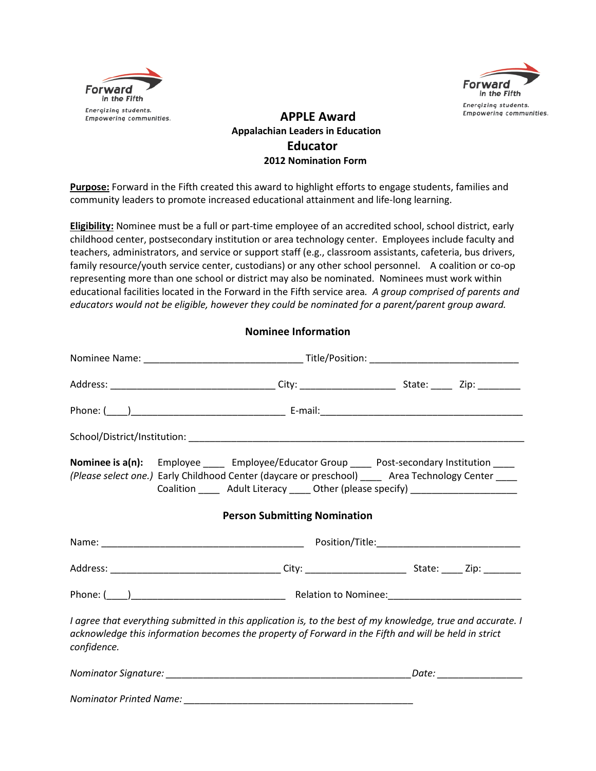



## **APPLE Award Appalachian Leaders in Education Educator 2012 Nomination Form**

**Purpose:** Forward in the Fifth created this award to highlight efforts to engage students, families and community leaders to promote increased educational attainment and life-long learning.

**Eligibility:** Nominee must be a full or part-time employee of an accredited school, school district, early childhood center, postsecondary institution or area technology center. Employees include faculty and teachers, administrators, and service or support staff (e.g., classroom assistants, cafeteria, bus drivers, family resource/youth service center, custodians) or any other school personnel. A coalition or co-op representing more than one school or district may also be nominated. Nominees must work within educational facilities located in the Forward in the Fifth service area*. A group comprised of parents and educators would not be eligible, however they could be nominated for a parent/parent group award.*

## **Nominee Information**

|             | Nominee is a(n): Employee _____ Employee/Educator Group ____ Post-secondary Institution ____<br>(Please select one.) Early Childhood Center (daycare or preschool) ____ Area Technology Center ____<br>Coalition _______ Adult Literacy ______ Other (please specify) _________________ |  |  |
|-------------|-----------------------------------------------------------------------------------------------------------------------------------------------------------------------------------------------------------------------------------------------------------------------------------------|--|--|
|             | <b>Person Submitting Nomination</b>                                                                                                                                                                                                                                                     |  |  |
|             |                                                                                                                                                                                                                                                                                         |  |  |
|             |                                                                                                                                                                                                                                                                                         |  |  |
|             |                                                                                                                                                                                                                                                                                         |  |  |
| confidence. | I agree that everything submitted in this application is, to the best of my knowledge, true and accurate. I<br>acknowledge this information becomes the property of Forward in the Fifth and will be held in strict                                                                     |  |  |
|             |                                                                                                                                                                                                                                                                                         |  |  |
|             |                                                                                                                                                                                                                                                                                         |  |  |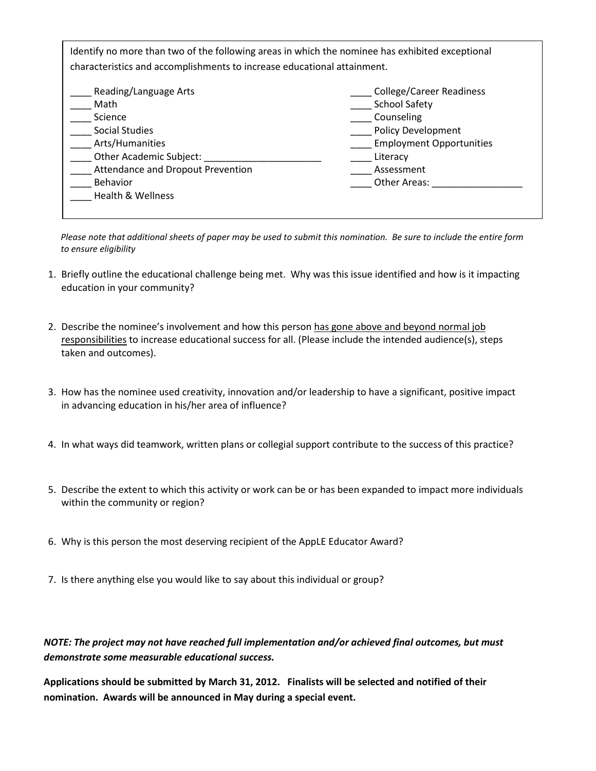Identify no more than two of the following areas in which the nominee has exhibited exceptional characteristics and accomplishments to increase educational attainment.

| Reading/Language Arts             | <b>College/Career Readiness</b> |  |  |
|-----------------------------------|---------------------------------|--|--|
| Math                              | <b>School Safety</b>            |  |  |
| Science                           | Counseling                      |  |  |
| <b>Social Studies</b>             | <b>Policy Development</b>       |  |  |
| Arts/Humanities                   | <b>Employment Opportunities</b> |  |  |
| Other Academic Subject:           | Literacy                        |  |  |
| Attendance and Dropout Prevention | Assessment                      |  |  |
| <b>Behavior</b>                   | Other Areas:                    |  |  |
| Health & Wellness                 |                                 |  |  |

 *Please note that additional sheets of paper may be used to submit this nomination. Be sure to include the entire form to ensure eligibility*

- 1. Briefly outline the educational challenge being met. Why was this issue identified and how is it impacting education in your community?
- 2. Describe the nominee's involvement and how this person has gone above and beyond normal job responsibilities to increase educational success for all. (Please include the intended audience(s), steps taken and outcomes).
- 3. How has the nominee used creativity, innovation and/or leadership to have a significant, positive impact in advancing education in his/her area of influence?
- 4. In what ways did teamwork, written plans or collegial support contribute to the success of this practice?
- 5. Describe the extent to which this activity or work can be or has been expanded to impact more individuals within the community or region?
- 6. Why is this person the most deserving recipient of the AppLE Educator Award?
- 7. Is there anything else you would like to say about this individual or group?

## *NOTE: The project may not have reached full implementation and/or achieved final outcomes, but must demonstrate some measurable educational success.*

**Applications should be submitted by March 31, 2012. Finalists will be selected and notified of their nomination. Awards will be announced in May during a special event.**